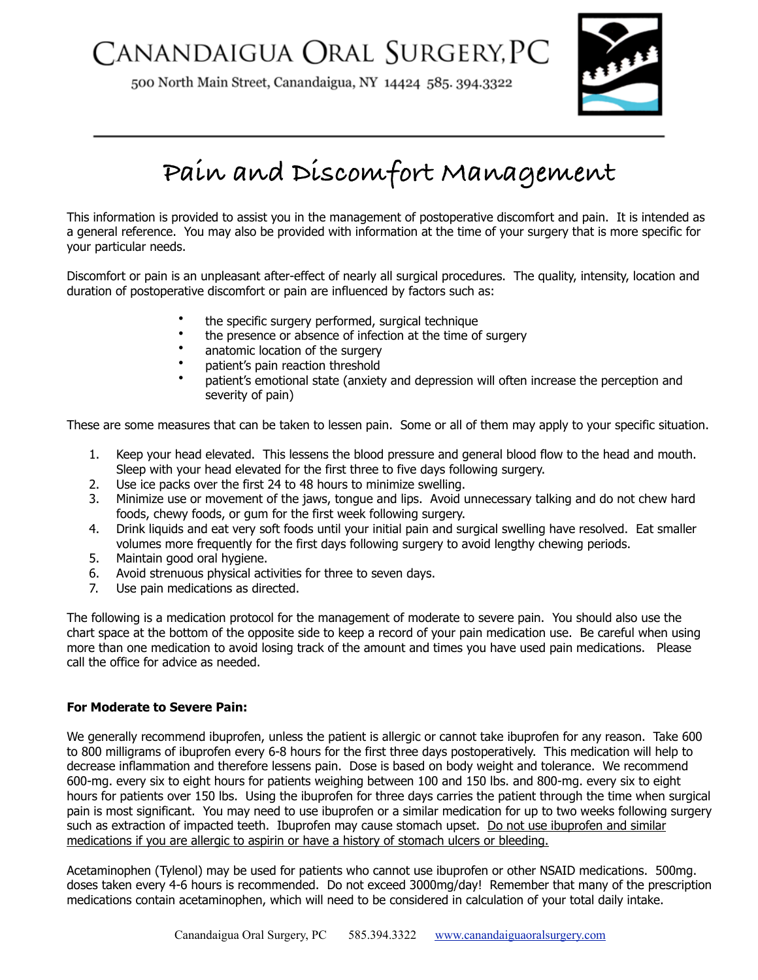## CANANDAIGUA ORAL SURGERY, PC

500 North Main Street, Canandaigua, NY 14424 585. 394.3322



## **Pain and Discomfort Management**

This information is provided to assist you in the management of postoperative discomfort and pain. It is intended as a general reference. You may also be provided with information at the time of your surgery that is more specific for your particular needs.

Discomfort or pain is an unpleasant after-effect of nearly all surgical procedures. The quality, intensity, location and duration of postoperative discomfort or pain are influenced by factors such as:

- the specific surgery performed, surgical technique
- the presence or absence of infection at the time of surgery
- anatomic location of the surgery
- patient's pain reaction threshold
- patient's emotional state (anxiety and depression will often increase the perception and severity of pain)

These are some measures that can be taken to lessen pain. Some or all of them may apply to your specific situation.

- 1. Keep your head elevated. This lessens the blood pressure and general blood flow to the head and mouth. Sleep with your head elevated for the first three to five days following surgery.
- 2. Use ice packs over the first 24 to 48 hours to minimize swelling.
- 3. Minimize use or movement of the jaws, tongue and lips. Avoid unnecessary talking and do not chew hard foods, chewy foods, or gum for the first week following surgery.
- 4. Drink liquids and eat very soft foods until your initial pain and surgical swelling have resolved. Eat smaller volumes more frequently for the first days following surgery to avoid lengthy chewing periods.
- 5. Maintain good oral hygiene.
- 6. Avoid strenuous physical activities for three to seven days.
- 7. Use pain medications as directed.

The following is a medication protocol for the management of moderate to severe pain. You should also use the chart space at the bottom of the opposite side to keep a record of your pain medication use. Be careful when using more than one medication to avoid losing track of the amount and times you have used pain medications. Please call the office for advice as needed.

## **For Moderate to Severe Pain:**

We generally recommend ibuprofen, unless the patient is allergic or cannot take ibuprofen for any reason. Take 600 to 800 milligrams of ibuprofen every 6-8 hours for the first three days postoperatively. This medication will help to decrease inflammation and therefore lessens pain. Dose is based on body weight and tolerance. We recommend 600-mg. every six to eight hours for patients weighing between 100 and 150 lbs. and 800-mg. every six to eight hours for patients over 150 lbs. Using the ibuprofen for three days carries the patient through the time when surgical pain is most significant. You may need to use ibuprofen or a similar medication for up to two weeks following surgery such as extraction of impacted teeth. Ibuprofen may cause stomach upset. Do not use ibuprofen and similar medications if you are allergic to aspirin or have a history of stomach ulcers or bleeding.

Acetaminophen (Tylenol) may be used for patients who cannot use ibuprofen or other NSAID medications. 500mg. doses taken every 4-6 hours is recommended. Do not exceed 3000mg/day! Remember that many of the prescription medications contain acetaminophen, which will need to be considered in calculation of your total daily intake.